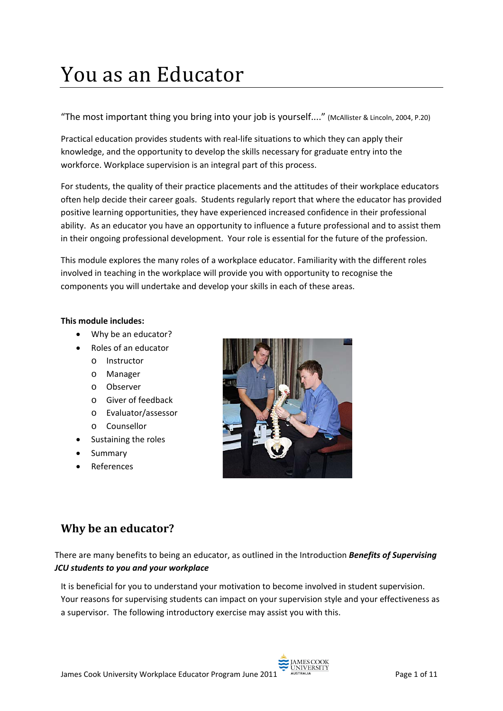# You as an Educator

"The most important thing you bring into your job is yourself...." (McAllister & Lincoln, 2004, P.20)

Practical education provides students with real-life situations to which they can apply their knowledge, and the opportunity to develop the skills necessary for graduate entry into the workforce. Workplace supervision is an integral part of this process.

For students, the quality of their practice placements and the attitudes of their workplace educators often help decide their career goals. Students regularly report that where the educator has provided positive learning opportunities, they have experienced increased confidence in their professional ability. As an educator you have an opportunity to influence a future professional and to assist them in their ongoing professional development. Your role is essential for the future of the profession.

This module explores the many roles of a workplace educator. Familiarity with the different roles involved in teaching in the workplace will provide you with opportunity to recognise the components you will undertake and develop your skills in each of these areas.

#### **This module includes:**

- Why be an educator?
- Roles of an educator
	- o Instructor
	- o Manager
	- o Observer
	- o Giver of feedback
	- o Evaluator/assessor
	- o Counsellor
- Sustaining the roles
- **Summary**
- **References**



## **Why be an educator?**

There are many benefits to being an educator, as outlined in the Introduction *Benefits of Supervising JCU students to you and your workplace*

It is beneficial for you to understand your motivation to become involved in student supervision. Your reasons for supervising students can impact on your supervision style and your effectiveness as a supervisor. The following introductory exercise may assist you with this.

UNIVERSIT

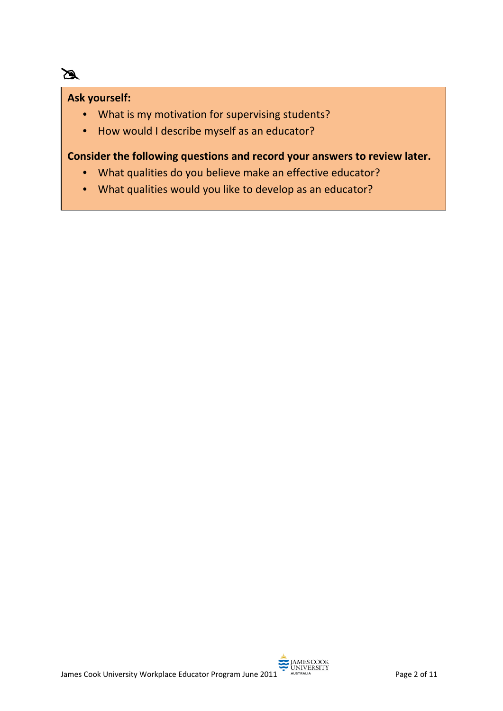#### **Ask yourself:**

 $\mathbb{Z}$ 

- What is my motivation for supervising students?
- How would I describe myself as an educator?

#### **Consider the following questions and record your answers to review later.**

- What qualities do you believe make an effective educator?
- What qualities would you like to develop as an educator?

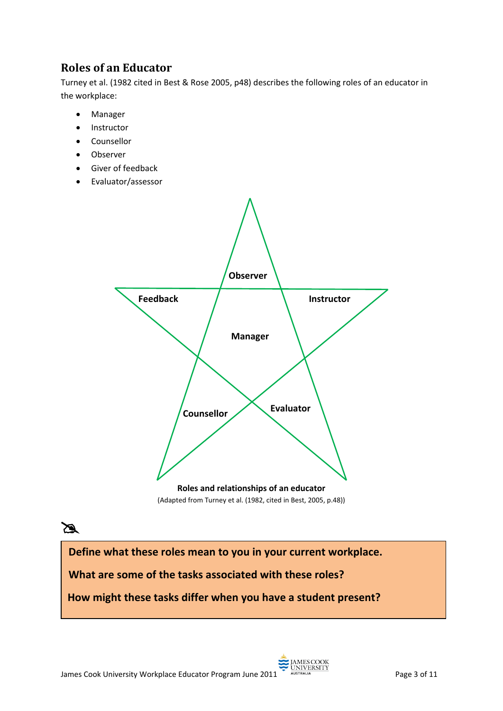# **Roles of an Educator**

Turney et al. (1982 cited in Best & Rose 2005, p48) describes the following roles of an educator in the workplace:

- Manager
- Instructor
- Counsellor
- Observer
- Giver of feedback
- Evaluator/assessor





**Define what these roles mean to you in your current workplace.**

**What are some of the tasks associated with these roles?**

**How might these tasks differ when you have a student present?**

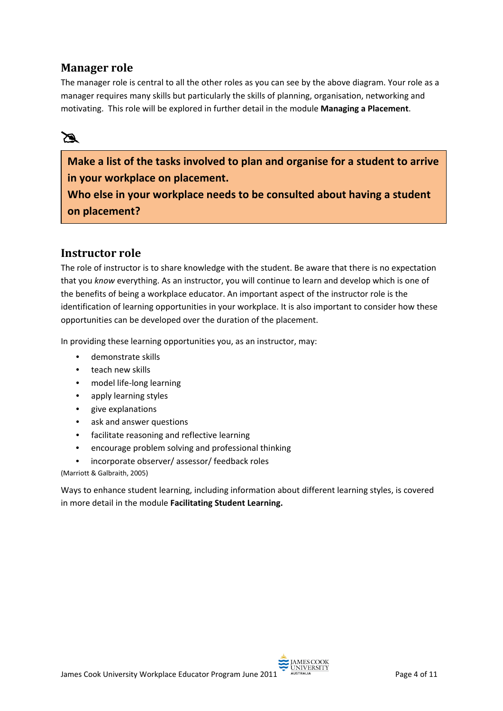## **Manager role**

The manager role is central to all the other roles as you can see by the above diagram. Your role as a manager requires many skills but particularly the skills of planning, organisation, networking and motivating. This role will be explored in further detail in the module **Managing a Placement**.

# X

**Make a list of the tasks involved to plan and organise for a student to arrive in your workplace on placement.**

**Who else in your workplace needs to be consulted about having a student on placement?**

#### **Instructor role**

The role of instructor is to share knowledge with the student. Be aware that there is no expectation that you *know* everything. As an instructor, you will continue to learn and develop which is one of the benefits of being a workplace educator. An important aspect of the instructor role is the identification of learning opportunities in your workplace. It is also important to consider how these opportunities can be developed over the duration of the placement.

In providing these learning opportunities you, as an instructor, may:

- demonstrate skills
- teach new skills
- model life-long learning
- apply learning styles
- give explanations
- ask and answer questions
- facilitate reasoning and reflective learning
- encourage problem solving and professional thinking
- incorporate observer/ assessor/ feedback roles

(Marriott & Galbraith, 2005)

Ways to enhance student learning, including information about different learning styles, is covered in more detail in the module **Facilitating Student Learning.**

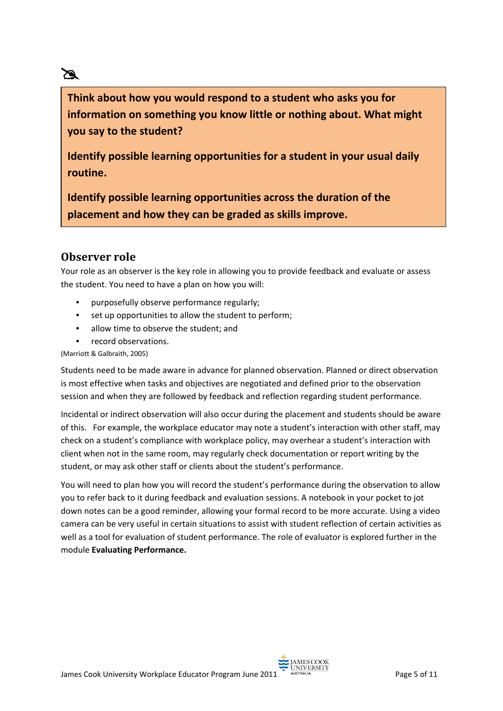# X

**Think about how you would respond to a student who asks you for information on something you know little or nothing about. What might you say to the student?**

**Identify possible learning opportunities for a student in your usual daily routine.**

**Identify possible learning opportunities across the duration of the placement and how they can be graded as skills improve.**

## **Observer role**

Your role as an observer is the key role in allowing you to provide feedback and evaluate or assess the student. You need to have a plan on how you will:

- purposefully observe performance regularly;
- set up opportunities to allow the student to perform;
- allow time to observe the student; and
- record observations.

(Marriott & Galbraith, 2005)

Students need to be made aware in advance for planned observation. Planned or direct observation is most effective when tasks and objectives are negotiated and defined prior to the observation session and when they are followed by feedback and reflection regarding student performance.

Incidental or indirect observation will also occur during the placement and students should be aware of this. For example, the workplace educator may note a student's interaction with other staff, may check on a student's compliance with workplace policy, may overhear a student's interaction with client when not in the same room, may regularly check documentation or report writing by the student, or may ask other staff or clients about the student's performance.

You will need to plan how you will record the student's performance during the observation to allow you to refer back to it during feedback and evaluation sessions. A notebook in your pocket to jot down notes can be a good reminder, allowing your formal record to be more accurate. Using a video camera can be very useful in certain situations to assist with student reflection of certain activities as well as a tool for evaluation of student performance. The role of evaluator is explored further in the module **Evaluating Performance.**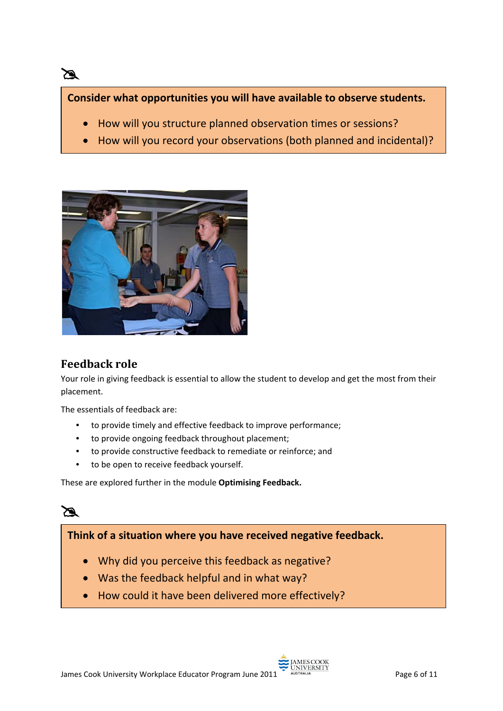#### **Consider what opportunities you will have available to observe students.**

- How will you structure planned observation times or sessions?
- How will you record your observations (both planned and incidental)?



## **Feedback role**

X

Your role in giving feedback is essential to allow the student to develop and get the most from their placement.

The essentials of feedback are:

- to provide timely and effective feedback to improve performance;
- to provide ongoing feedback throughout placement;
- to provide constructive feedback to remediate or reinforce; and
- to be open to receive feedback yourself.

These are explored further in the module **Optimising Feedback.**



#### **Think of a situation where you have received negative feedback.**

- Why did you perceive this feedback as negative?
- Was the feedback helpful and in what way?
- How could it have been delivered more effectively?

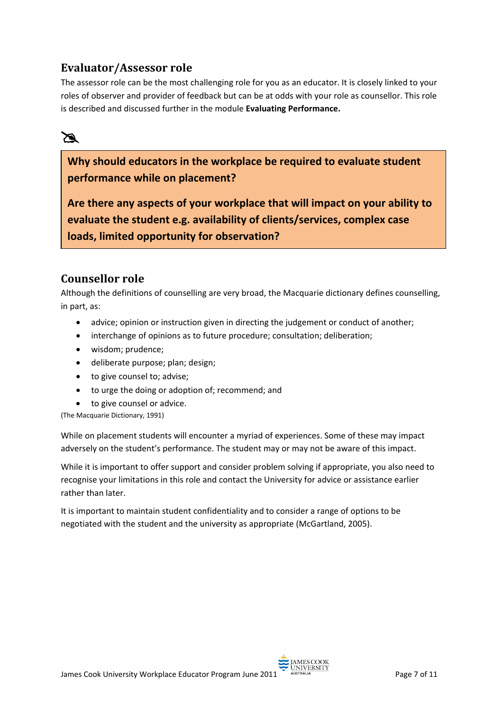## **Evaluator/Assessor role**

The assessor role can be the most challenging role for you as an educator. It is closely linked to your roles of observer and provider of feedback but can be at odds with your role as counsellor. This role is described and discussed further in the module **Evaluating Performance.**

# X

**Why should educators in the workplace be required to evaluate student performance while on placement?**

**Are there any aspects of your workplace that will impact on your ability to evaluate the student e.g. availability of clients/services, complex case loads, limited opportunity for observation?**

## **Counsellor role**

Although the definitions of counselling are very broad, the Macquarie dictionary defines counselling, in part, as:

- advice; opinion or instruction given in directing the judgement or conduct of another;
- interchange of opinions as to future procedure; consultation; deliberation;
- wisdom; prudence;
- deliberate purpose; plan; design;
- to give counsel to; advise;
- to urge the doing or adoption of; recommend; and
- to give counsel or advice.

(The Macquarie Dictionary, 1991)

While on placement students will encounter a myriad of experiences. Some of these may impact adversely on the student's performance. The student may or may not be aware of this impact.

While it is important to offer support and consider problem solving if appropriate, you also need to recognise your limitations in this role and contact the University for advice or assistance earlier rather than later.

It is important to maintain student confidentiality and to consider a range of options to be negotiated with the student and the university as appropriate (McGartland, 2005).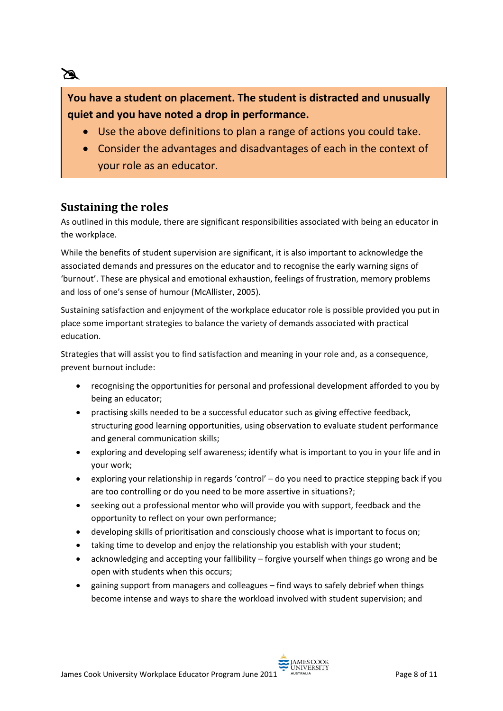# **You have a student on placement. The student is distracted and unusually quiet and you have noted a drop in performance.**

- Use the above definitions to plan a range of actions you could take.
- Consider the advantages and disadvantages of each in the context of your role as an educator.

#### **Sustaining the roles**

X

As outlined in this module, there are significant responsibilities associated with being an educator in the workplace.

While the benefits of student supervision are significant, it is also important to acknowledge the associated demands and pressures on the educator and to recognise the early warning signs of 'burnout'. These are physical and emotional exhaustion, feelings of frustration, memory problems and loss of one's sense of humour (McAllister, 2005).

Sustaining satisfaction and enjoyment of the workplace educator role is possible provided you put in place some important strategies to balance the variety of demands associated with practical education.

Strategies that will assist you to find satisfaction and meaning in your role and, as a consequence, prevent burnout include:

- recognising the opportunities for personal and professional development afforded to you by being an educator;
- practising skills needed to be a successful educator such as giving effective feedback, structuring good learning opportunities, using observation to evaluate student performance and general communication skills;
- exploring and developing self awareness; identify what is important to you in your life and in your work;
- exploring your relationship in regards 'control' do you need to practice stepping back if you are too controlling or do you need to be more assertive in situations?;
- seeking out a professional mentor who will provide you with support, feedback and the opportunity to reflect on your own performance;
- developing skills of prioritisation and consciously choose what is important to focus on;
- taking time to develop and enjoy the relationship you establish with your student;
- acknowledging and accepting your fallibility forgive yourself when things go wrong and be open with students when this occurs;
- gaining support from managers and colleagues find ways to safely debrief when things become intense and ways to share the workload involved with student supervision; and

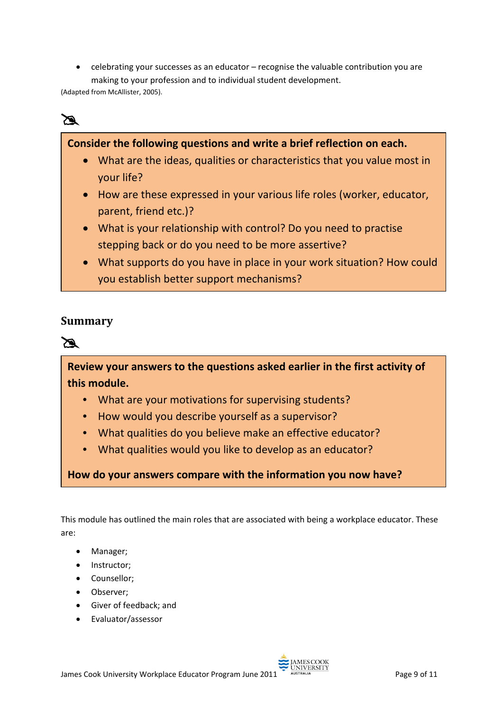• celebrating your successes as an educator – recognise the valuable contribution you are making to your profession and to individual student development.

(Adapted from McAllister, 2005).

# X

#### **Consider the following questions and write a brief reflection on each.**

- What are the ideas, qualities or characteristics that you value most in your life?
- How are these expressed in your various life roles (worker, educator, parent, friend etc.)?
- What is your relationship with control? Do you need to practise stepping back or do you need to be more assertive?
- What supports do you have in place in your work situation? How could you establish better support mechanisms?

#### **Summary**



**Review your answers to the questions asked earlier in the first activity of this module.** 

- What are your motivations for supervising students?
- How would you describe yourself as a supervisor?
- What qualities do you believe make an effective educator?
- What qualities would you like to develop as an educator?

**How do your answers compare with the information you now have?**

This module has outlined the main roles that are associated with being a workplace educator. These are:

- Manager;
- Instructor;
- Counsellor;
- Observer;
- Giver of feedback; and
- Evaluator/assessor

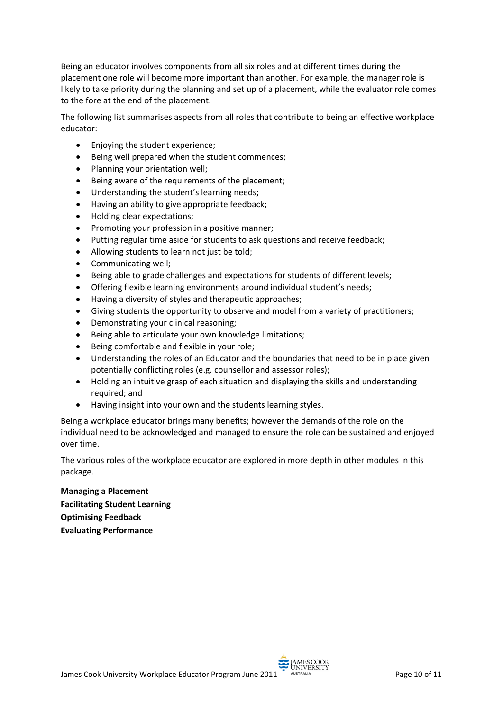Being an educator involves components from all six roles and at different times during the placement one role will become more important than another. For example, the manager role is likely to take priority during the planning and set up of a placement, while the evaluator role comes to the fore at the end of the placement.

The following list summarises aspects from all roles that contribute to being an effective workplace educator:

- Enjoying the student experience;
- Being well prepared when the student commences;
- Planning your orientation well;
- Being aware of the requirements of the placement;
- Understanding the student's learning needs;
- Having an ability to give appropriate feedback;
- Holding clear expectations;
- Promoting your profession in a positive manner;
- Putting regular time aside for students to ask questions and receive feedback;
- Allowing students to learn not just be told;
- Communicating well;
- Being able to grade challenges and expectations for students of different levels;
- Offering flexible learning environments around individual student's needs;
- Having a diversity of styles and therapeutic approaches;
- Giving students the opportunity to observe and model from a variety of practitioners;
- Demonstrating your clinical reasoning;
- Being able to articulate your own knowledge limitations;
- Being comfortable and flexible in your role;
- Understanding the roles of an Educator and the boundaries that need to be in place given potentially conflicting roles (e.g. counsellor and assessor roles);
- Holding an intuitive grasp of each situation and displaying the skills and understanding required; and
- Having insight into your own and the students learning styles.

Being a workplace educator brings many benefits; however the demands of the role on the individual need to be acknowledged and managed to ensure the role can be sustained and enjoyed over time.

The various roles of the workplace educator are explored in more depth in other modules in this package.

**Managing a Placement Facilitating Student Learning Optimising Feedback Evaluating Performance**